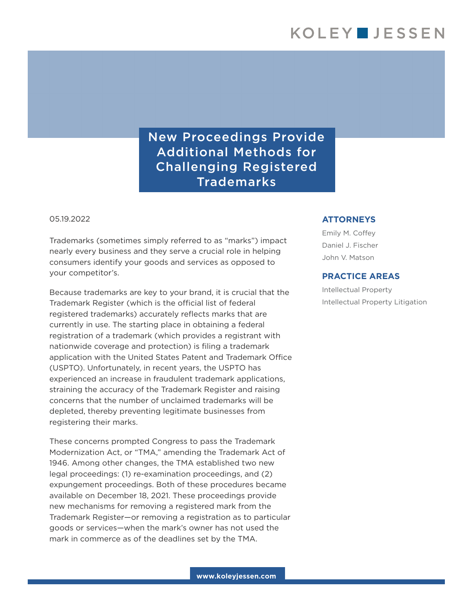New Proceedings Provide Additional Methods for Challenging Registered Trademarks

05.19.2022

Trademarks (sometimes simply referred to as "marks") impact nearly every business and they serve a crucial role in helping consumers identify your goods and services as opposed to your competitor's.

Because trademarks are key to your brand, it is crucial that the Trademark Register (which is the official list of federal registered trademarks) accurately reflects marks that are currently in use. The starting place in obtaining a federal registration of a trademark (which provides a registrant with nationwide coverage and protection) is filing a trademark application with the United States Patent and Trademark Office (USPTO). Unfortunately, in recent years, the USPTO has experienced an increase in fraudulent trademark applications, straining the accuracy of the Trademark Register and raising concerns that the number of unclaimed trademarks will be depleted, thereby preventing legitimate businesses from registering their marks.

These concerns prompted Congress to pass the Trademark Modernization Act, or "TMA," amending the Trademark Act of 1946. Among other changes, the TMA established two new legal proceedings: (1) re-examination proceedings, and (2) expungement proceedings. Both of these procedures became available on December 18, 2021. These proceedings provide new mechanisms for removing a registered mark from the Trademark Register—or removing a registration as to particular goods or services—when the mark's owner has not used the mark in commerce as of the deadlines set by the TMA.

## **ATTORNEYS**

Emily M. Coffey Daniel J. Fischer John V. Matson

## **PRACTICE AREAS**

Intellectual Property Intellectual Property Litigation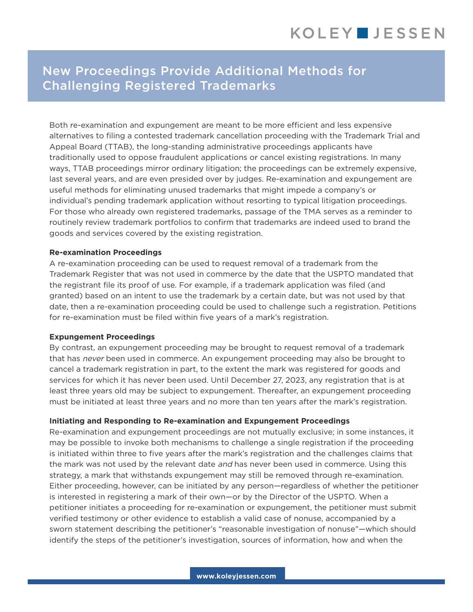## New Proceedings Provide Additional Methods for Challenging Registered Trademarks

Both re-examination and expungement are meant to be more efficient and less expensive alternatives to filing a contested trademark cancellation proceeding with the Trademark Trial and Appeal Board (TTAB), the long-standing administrative proceedings applicants have traditionally used to oppose fraudulent applications or cancel existing registrations. In many ways, TTAB proceedings mirror ordinary litigation; the proceedings can be extremely expensive, last several years, and are even presided over by judges. Re-examination and expungement are useful methods for eliminating unused trademarks that might impede a company's or individual's pending trademark application without resorting to typical litigation proceedings. For those who already own registered trademarks, passage of the TMA serves as a reminder to routinely review trademark portfolios to confirm that trademarks are indeed used to brand the goods and services covered by the existing registration.

#### **Re-examination Proceedings**

A re-examination proceeding can be used to request removal of a trademark from the Trademark Register that was not used in commerce by the date that the USPTO mandated that the registrant file its proof of use. For example, if a trademark application was filed (and granted) based on an intent to use the trademark by a certain date, but was not used by that date, then a re-examination proceeding could be used to challenge such a registration. Petitions for re-examination must be filed within five years of a mark's registration.

#### **Expungement Proceedings**

By contrast, an expungement proceeding may be brought to request removal of a trademark that has never been used in commerce. An expungement proceeding may also be brought to cancel a trademark registration in part, to the extent the mark was registered for goods and services for which it has never been used. Until December 27, 2023, any registration that is at least three years old may be subject to expungement. Thereafter, an expungement proceeding must be initiated at least three years and no more than ten years after the mark's registration.

## **Initiating and Responding to Re-examination and Expungement Proceedings**

Re-examination and expungement proceedings are not mutually exclusive; in some instances, it may be possible to invoke both mechanisms to challenge a single registration if the proceeding is initiated within three to five years after the mark's registration and the challenges claims that the mark was not used by the relevant date and has never been used in commerce. Using this strategy, a mark that withstands expungement may still be removed through re-examination. Either proceeding, however, can be initiated by any person—regardless of whether the petitioner is interested in registering a mark of their own—or by the Director of the USPTO. When a petitioner initiates a proceeding for re-examination or expungement, the petitioner must submit verified testimony or other evidence to establish a valid case of nonuse, accompanied by a sworn statement describing the petitioner's "reasonable investigation of nonuse"—which should identify the steps of the petitioner's investigation, sources of information, how and when the